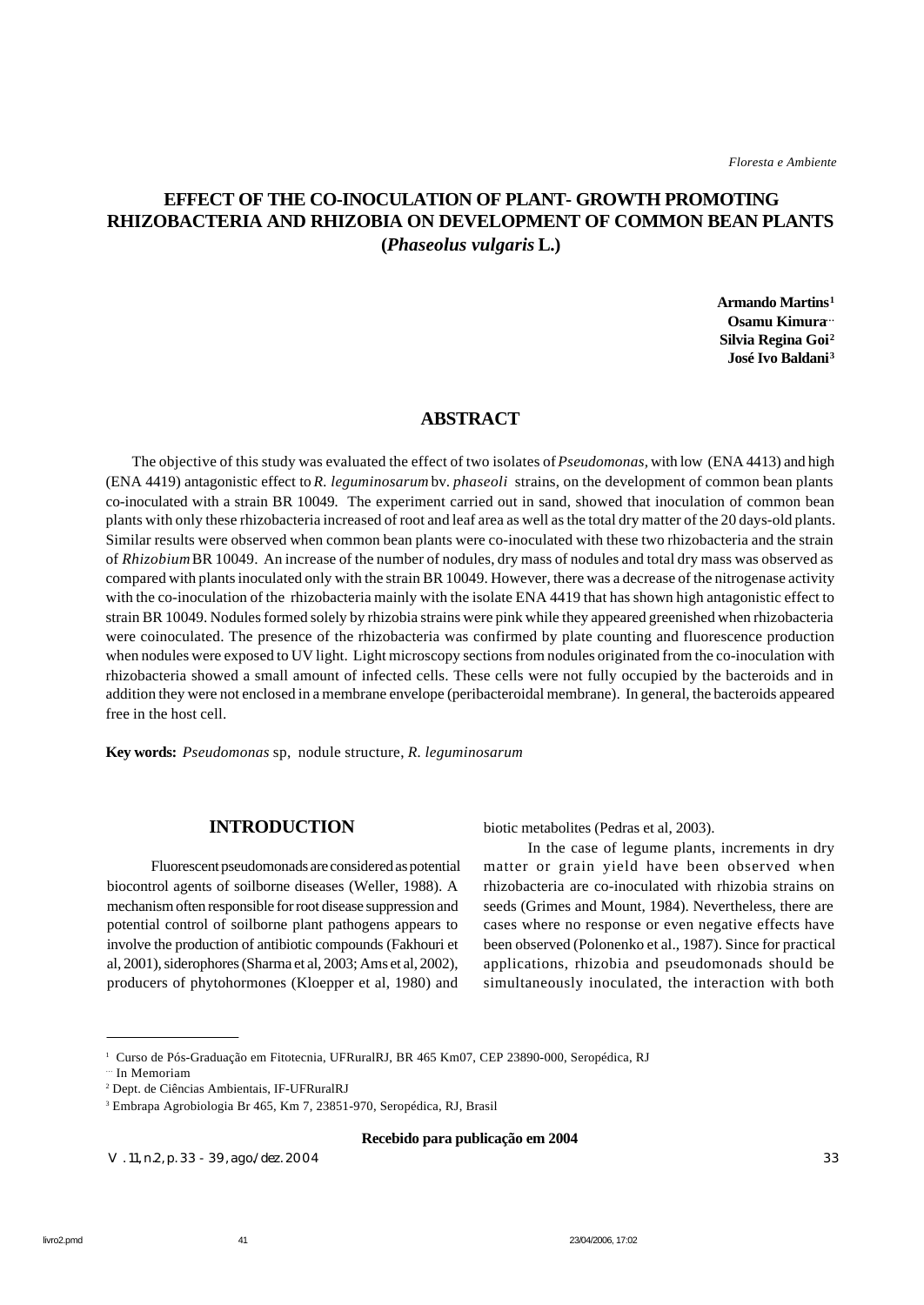# **EFFECT OF THE CO-INOCULATION OF PLANT- GROWTH PROMOTING RHIZOBACTERIA AND RHIZOBIA ON DEVELOPMENT OF COMMON BEAN PLANTS (***Phaseolus vulgaris* **L.)**

**Armando Martins<sup>1</sup> Osamu Kimura… Silvia Regina Goi<sup>2</sup> José Ivo Baldani<sup>3</sup>**

## **ABSTRACT**

 The objective of this study was evaluated the effect of two isolates of *Pseudomonas,* with low (ENA 4413) and high (ENA 4419) antagonistic effect to *R. leguminosarum* bv. *phaseoli* strains, on the development of common bean plants co-inoculated with a strain BR 10049*.* The experiment carried out in sand, showed that inoculation of common bean plants with only these rhizobacteria increased of root and leaf area as well as the total dry matter of the 20 days-old plants. Similar results were observed when common bean plants were co-inoculated with these two rhizobacteria and the strain of *Rhizobium* BR 10049. An increase of the number of nodules, dry mass of nodules and total dry mass was observed as compared with plants inoculated only with the strain BR 10049. However, there was a decrease of the nitrogenase activity with the co-inoculation of the rhizobacteria mainly with the isolate ENA 4419 that has shown high antagonistic effect to strain BR 10049. Nodules formed solely by rhizobia strains were pink while they appeared greenished when rhizobacteria were coinoculated. The presence of the rhizobacteria was confirmed by plate counting and fluorescence production when nodules were exposed to UV light. Light microscopy sections from nodules originated from the co-inoculation with rhizobacteria showed a small amount of infected cells. These cells were not fully occupied by the bacteroids and in addition they were not enclosed in a membrane envelope (peribacteroidal membrane). In general, the bacteroids appeared free in the host cell.

**Key words:** *Pseudomonas* sp, nodule structure, *R. leguminosarum*

## **INTRODUCTION**

Fluorescent pseudomonads are considered as potential biocontrol agents of soilborne diseases (Weller, 1988). A mechanism often responsible for root disease suppression and potential control of soilborne plant pathogens appears to involve the production of antibiotic compounds (Fakhouri et al, 2001), siderophores (Sharma et al, 2003; Ams et al, 2002), producers of phytohormones (Kloepper et al, 1980) and

biotic metabolites (Pedras et al, 2003).

In the case of legume plants, increments in dry matter or grain yield have been observed when rhizobacteria are co-inoculated with rhizobia strains on seeds (Grimes and Mount, 1984). Nevertheless, there are cases where no response or even negative effects have been observed (Polonenko et al., 1987). Since for practical applications, rhizobia and pseudomonads should be simultaneously inoculated, the interaction with both

#### **Recebido para publicação em 2004**

V. 11, n.2, p. 33 - 39, ago./dez. 2004 33

<sup>1</sup> Curso de Pós-Graduação em Fitotecnia, UFRuralRJ, BR 465 Km07, CEP 23890-000, Seropédica, RJ

<sup>…</sup> In Memoriam

<sup>2</sup> Dept. de Ciências Ambientais, IF-UFRuralRJ

<sup>3</sup> Embrapa Agrobiologia Br 465, Km 7, 23851-970, Seropédica, RJ, Brasil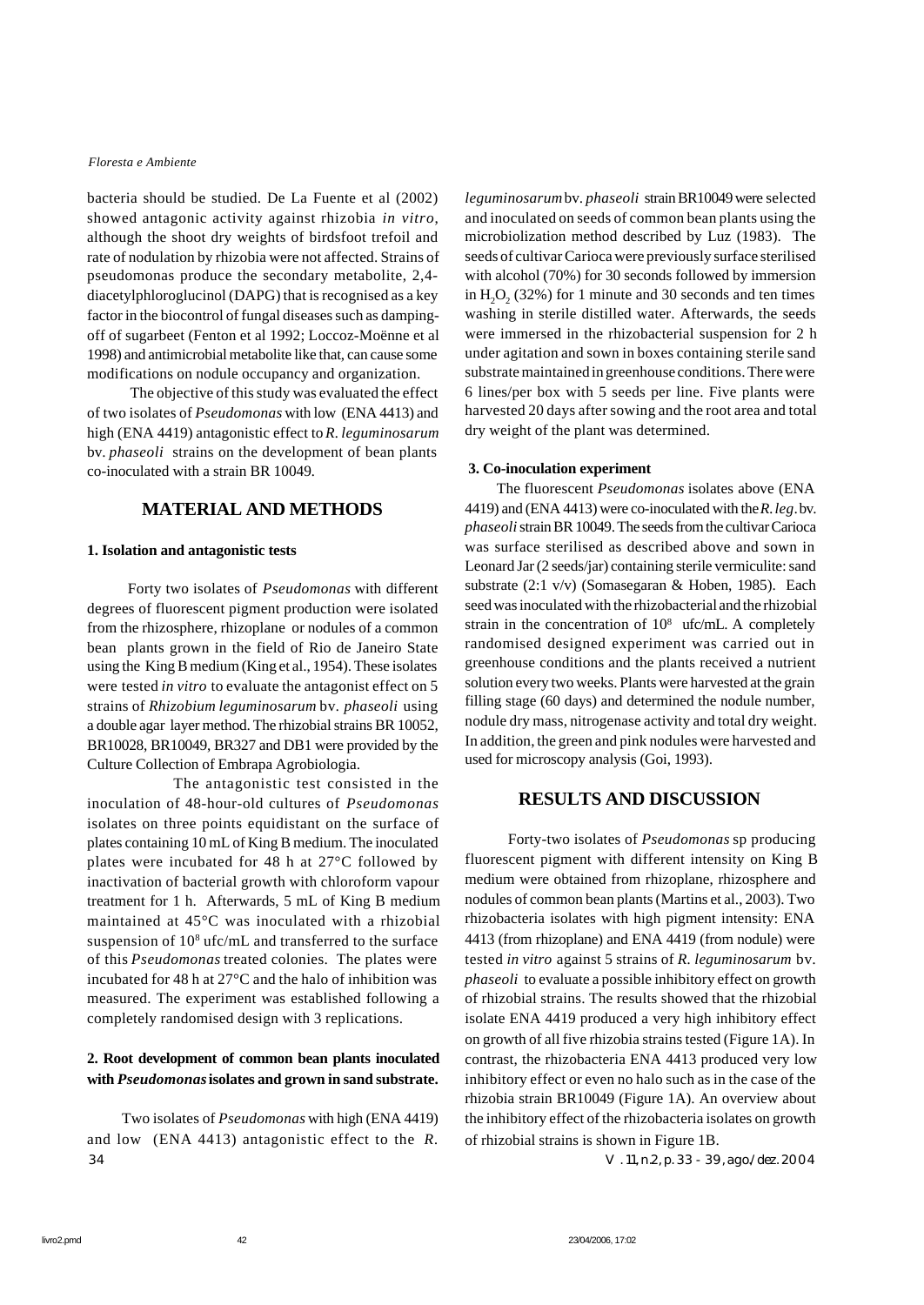bacteria should be studied. De La Fuente et al (2002) showed antagonic activity against rhizobia *in vitro*, although the shoot dry weights of birdsfoot trefoil and rate of nodulation by rhizobia were not affected. Strains of pseudomonas produce the secondary metabolite, 2,4 diacetylphloroglucinol (DAPG) that is recognised as a key factor in the biocontrol of fungal diseases such as dampingoff of sugarbeet (Fenton et al 1992; Loccoz-Moënne et al 1998) and antimicrobial metabolite like that, can cause some modifications on nodule occupancy and organization.

The objective of this study was evaluated the effect of two isolates of *Pseudomonas* with low (ENA 4413) and high (ENA 4419) antagonistic effect to *R. leguminosarum* bv. *phaseoli* strains on the development of bean plants co-inoculated with a strain BR 10049*.*

## **MATERIAL AND METHODS**

#### **1. Isolation and antagonistic tests**

 Forty two isolates of *Pseudomonas* with different degrees of fluorescent pigment production were isolated from the rhizosphere, rhizoplane or nodules of a common bean plants grown in the field of Rio de Janeiro State using the King B medium (King et al., 1954). These isolates were tested *in vitro* to evaluate the antagonist effect on 5 strains of *Rhizobium leguminosarum* bv*. phaseoli* using a double agar layer method. The rhizobial strains BR 10052, BR10028, BR10049, BR327 and DB1 were provided by the Culture Collection of Embrapa Agrobiologia.

 The antagonistic test consisted in the inoculation of 48-hour-old cultures of *Pseudomonas* isolates on three points equidistant on the surface of plates containing 10 mL of King B medium. The inoculated plates were incubated for 48 h at 27°C followed by inactivation of bacterial growth with chloroform vapour treatment for 1 h. Afterwards, 5 mL of King B medium maintained at 45°C was inoculated with a rhizobial suspension of 10<sup>8</sup> ufc/mL and transferred to the surface of this *Pseudomonas* treated colonies. The plates were incubated for 48 h at 27°C and the halo of inhibition was measured. The experiment was established following a completely randomised design with 3 replications.

## **2. Root development of common bean plants inoculated with** *Pseudomonas* **isolates and grown in sand substrate.**

 Two isolates of *Pseudomonas* with high (ENA 4419) and low (ENA 4413) antagonistic effect to the *R.* 34 V. 11, n.2, p. 33 - 39, ago./dez. 2004

*leguminosarum* bv. *phaseoli* strain BR10049 were selected and inoculated on seeds of common bean plants using the microbiolization method described by Luz (1983). The seeds of cultivar Carioca were previously surface sterilised with alcohol (70%) for 30 seconds followed by immersion in  $H_2O_2(32%)$  for 1 minute and 30 seconds and ten times washing in sterile distilled water. Afterwards, the seeds were immersed in the rhizobacterial suspension for 2 h under agitation and sown in boxes containing sterile sand substrate maintained in greenhouse conditions. There were 6 lines/per box with 5 seeds per line. Five plants were harvested 20 days after sowing and the root area and total dry weight of the plant was determined.

#### **3. Co-inoculation experiment**

 The fluorescent *Pseudomonas* isolates above (ENA 4419) and (ENA 4413) were co-inoculated with the *R. leg*. bv. *phaseoli* strain BR 10049. The seeds from the cultivar Carioca was surface sterilised as described above and sown in Leonard Jar (2 seeds/jar) containing sterile vermiculite: sand substrate (2:1 v/v) (Somasegaran & Hoben, 1985). Each seed was inoculated with the rhizobacterial and the rhizobial strain in the concentration of  $10^8$  ufc/mL. A completely randomised designed experiment was carried out in greenhouse conditions and the plants received a nutrient solution every two weeks. Plants were harvested at the grain filling stage (60 days) and determined the nodule number, nodule dry mass, nitrogenase activity and total dry weight. In addition, the green and pink nodules were harvested and used for microscopy analysis (Goi, 1993).

## **RESULTS AND DISCUSSION**

Forty-two isolates of *Pseudomonas* sp producing fluorescent pigment with different intensity on King B medium were obtained from rhizoplane, rhizosphere and nodules of common bean plants (Martins et al., 2003). Two rhizobacteria isolates with high pigment intensity: ENA 4413 (from rhizoplane) and ENA 4419 (from nodule) were tested *in vitro* against 5 strains of *R. leguminosarum* bv*. phaseoli* to evaluate a possible inhibitory effect on growth of rhizobial strains. The results showed that the rhizobial isolate ENA 4419 produced a very high inhibitory effect on growth of all five rhizobia strains tested (Figure 1A). In contrast, the rhizobacteria ENA 4413 produced very low inhibitory effect or even no halo such as in the case of the rhizobia strain BR10049 (Figure 1A). An overview about the inhibitory effect of the rhizobacteria isolates on growth of rhizobial strains is shown in Figure 1B.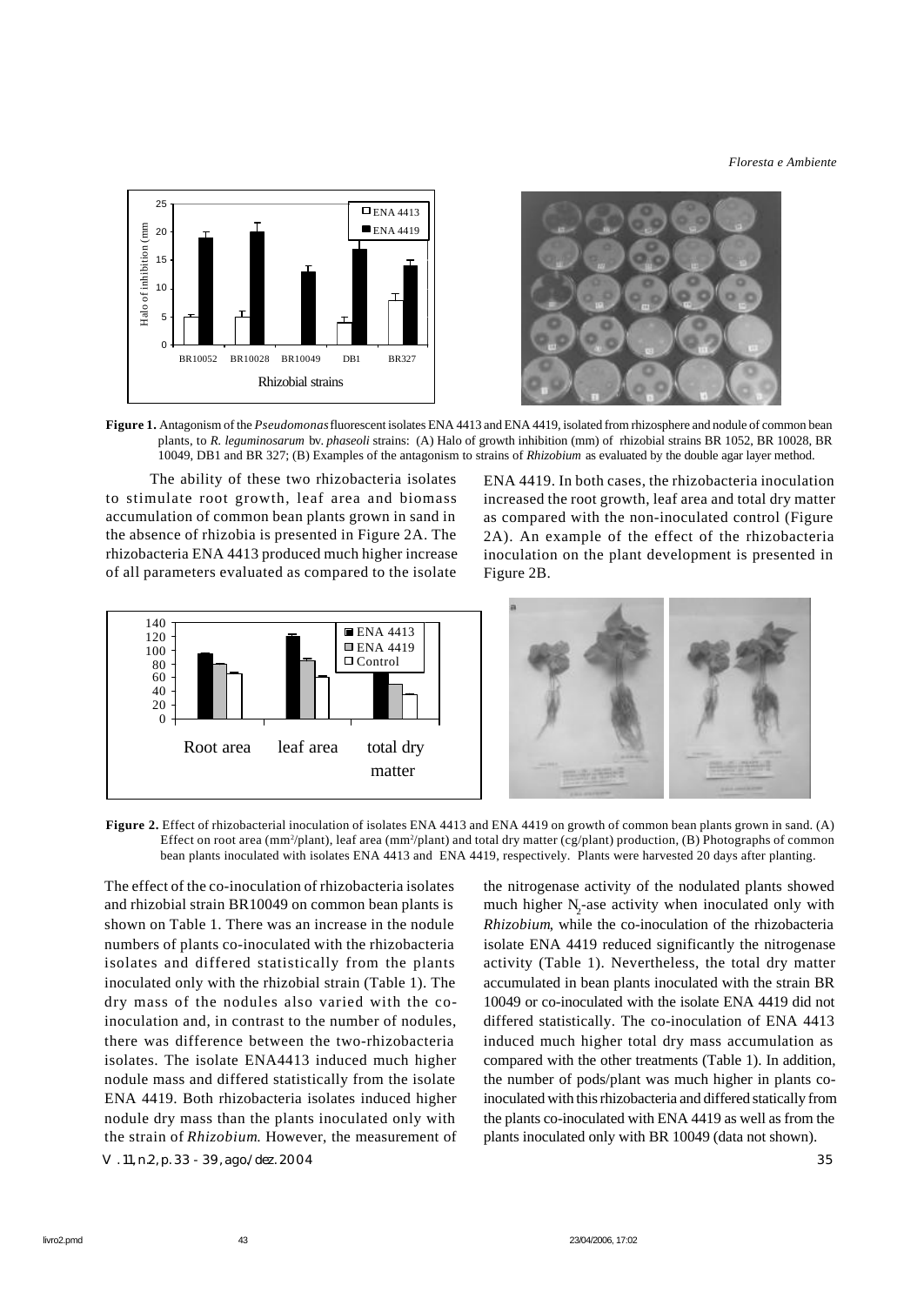

**Figure 1.** Antagonism of the *Pseudomonas* fluorescent isolates ENA 4413 and ENA 4419, isolated from rhizosphere and nodule of common bean plants, to *R. leguminosarum* bv. *phaseoli* strains: (A) Halo of growth inhibition (mm) of rhizobial strains BR 1052, BR 10028, BR 10049, DB1 and BR 327; (B) Examples of the antagonism to strains of *Rhizobium* as evaluated by the double agar layer method.

The ability of these two rhizobacteria isolates to stimulate root growth, leaf area and biomass accumulation of common bean plants grown in sand in the absence of rhizobia is presented in Figure 2A. The rhizobacteria ENA 4413 produced much higher increase of all parameters evaluated as compared to the isolate

ENA 4419. In both cases, the rhizobacteria inoculation increased the root growth, leaf area and total dry matter as compared with the non-inoculated control (Figure 2A). An example of the effect of the rhizobacteria inoculation on the plant development is presented in Figure 2B.



**Figure 2.** Effect of rhizobacterial inoculation of isolates ENA 4413 and ENA 4419 on growth of common bean plants grown in sand. (A) Effect on root area (mm<sup>2</sup>/plant), leaf area (mm<sup>2</sup>/plant) and total dry matter (cg/plant) production, (B) Photographs of common bean plants inoculated with isolates ENA 4413 and ENA 4419, respectively. Plants were harvested 20 days after planting.

The effect of the co-inoculation of rhizobacteria isolates and rhizobial strain BR10049 on common bean plants is shown on Table 1. There was an increase in the nodule numbers of plants co-inoculated with the rhizobacteria isolates and differed statistically from the plants inoculated only with the rhizobial strain (Table 1). The dry mass of the nodules also varied with the coinoculation and, in contrast to the number of nodules, there was difference between the two-rhizobacteria isolates. The isolate ENA4413 induced much higher nodule mass and differed statistically from the isolate ENA 4419. Both rhizobacteria isolates induced higher nodule dry mass than the plants inoculated only with the strain of *Rhizobium*. However, the measurement of V. 11, n.2, p. 33 - 39, ago./dez. 2004 35

the nitrogenase activity of the nodulated plants showed much higher N<sub>2</sub>-ase activity when inoculated only with *Rhizobium*, while the co-inoculation of the rhizobacteria isolate ENA 4419 reduced significantly the nitrogenase activity (Table 1). Nevertheless, the total dry matter accumulated in bean plants inoculated with the strain BR 10049 or co-inoculated with the isolate ENA 4419 did not differed statistically. The co-inoculation of ENA 4413 induced much higher total dry mass accumulation as compared with the other treatments (Table 1). In addition, the number of pods/plant was much higher in plants coinoculated with this rhizobacteria and differed statically from the plants co-inoculated with ENA 4419 as well as from the plants inoculated only with BR 10049 (data not shown).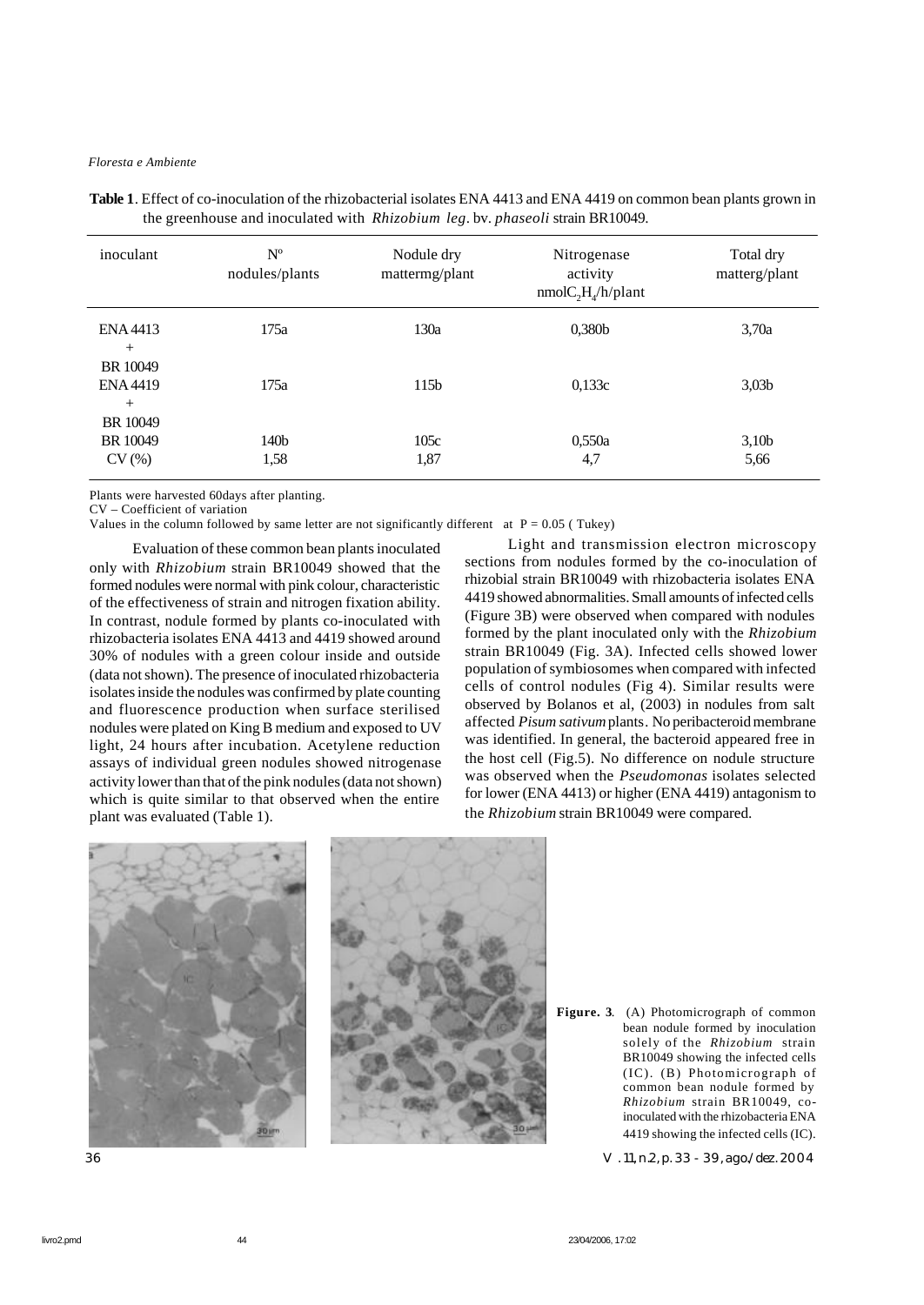| inoculant                          | $N^{\rm o}$<br>nodules/plants | Nodule dry<br>mattermg/plant | Nitrogenase<br>activity<br>$nmolC_2H_A/h/plan$ t | Total dry<br>matterg/plant |
|------------------------------------|-------------------------------|------------------------------|--------------------------------------------------|----------------------------|
| ENA4413<br>$+$                     | 175a                          | 130a                         | 0,380b                                           | 3,70a                      |
| BR 10049<br><b>ENA 4419</b><br>$+$ | 175a                          | 115 <sub>b</sub>             | 0,133c                                           | 3,03 <sub>b</sub>          |
| BR 10049<br>BR 10049<br>CV(%)      | 140 <sub>b</sub><br>1,58      | 105c<br>1,87                 | 0,550a<br>4,7                                    | 3,10 <sub>b</sub><br>5,66  |

**Table 1**. Effect of co-inoculation of the rhizobacterial isolates ENA 4413 and ENA 4419 on common bean plants grown in the greenhouse and inoculated with *Rhizobium leg*. bv. *phaseoli* strain BR10049.

Plants were harvested 60days after planting.

CV – Coefficient of variation

Values in the column followed by same letter are not significantly different at  $P = 0.05$  (Tukey)

Evaluation of these common bean plants inoculated only with *Rhizobium* strain BR10049 showed that the formed nodules were normal with pink colour, characteristic of the effectiveness of strain and nitrogen fixation ability. In contrast, nodule formed by plants co-inoculated with rhizobacteria isolates ENA 4413 and 4419 showed around 30% of nodules with a green colour inside and outside (data not shown). The presence of inoculated rhizobacteria isolates inside the nodules was confirmed by plate counting and fluorescence production when surface sterilised nodules were plated on King B medium and exposed to UV light, 24 hours after incubation. Acetylene reduction assays of individual green nodules showed nitrogenase activity lower than that of the pink nodules (data not shown) which is quite similar to that observed when the entire plant was evaluated (Table 1).

Light and transmission electron microscopy sections from nodules formed by the co-inoculation of rhizobial strain BR10049 with rhizobacteria isolates ENA 4419 showed abnormalities. Small amounts of infected cells (Figure 3B) were observed when compared with nodules formed by the plant inoculated only with the *Rhizobium* strain BR10049 (Fig. 3A). Infected cells showed lower population of symbiosomes when compared with infected cells of control nodules (Fig 4). Similar results were observed by Bolanos et al, (2003) in nodules from salt affected *Pisum sativum* plants*.* No peribacteroid membrane was identified. In general, the bacteroid appeared free in the host cell (Fig.5). No difference on nodule structure was observed when the *Pseudomonas* isolates selected for lower (ENA 4413) or higher (ENA 4419) antagonism to the *Rhizobium* strain BR10049 were compared.



Figure. 3. (A) Photomicrograph of common bean nodule formed by inoculation solely of the *Rhizobium* strain BR10049 showing the infected cells (IC). (B) Photomicrograph of common bean nodule formed by *Rhizobium* strain BR10049, coinoculated with the rhizobacteria ENA 4419 showing the infected cells (IC).

36 V. 11, n.2, p. 33 - 39, ago./dez. 2004

|         | ٠                  |
|---------|--------------------|
| ۰.<br>× | ۰<br>. .<br>I<br>ł |
| v       |                    |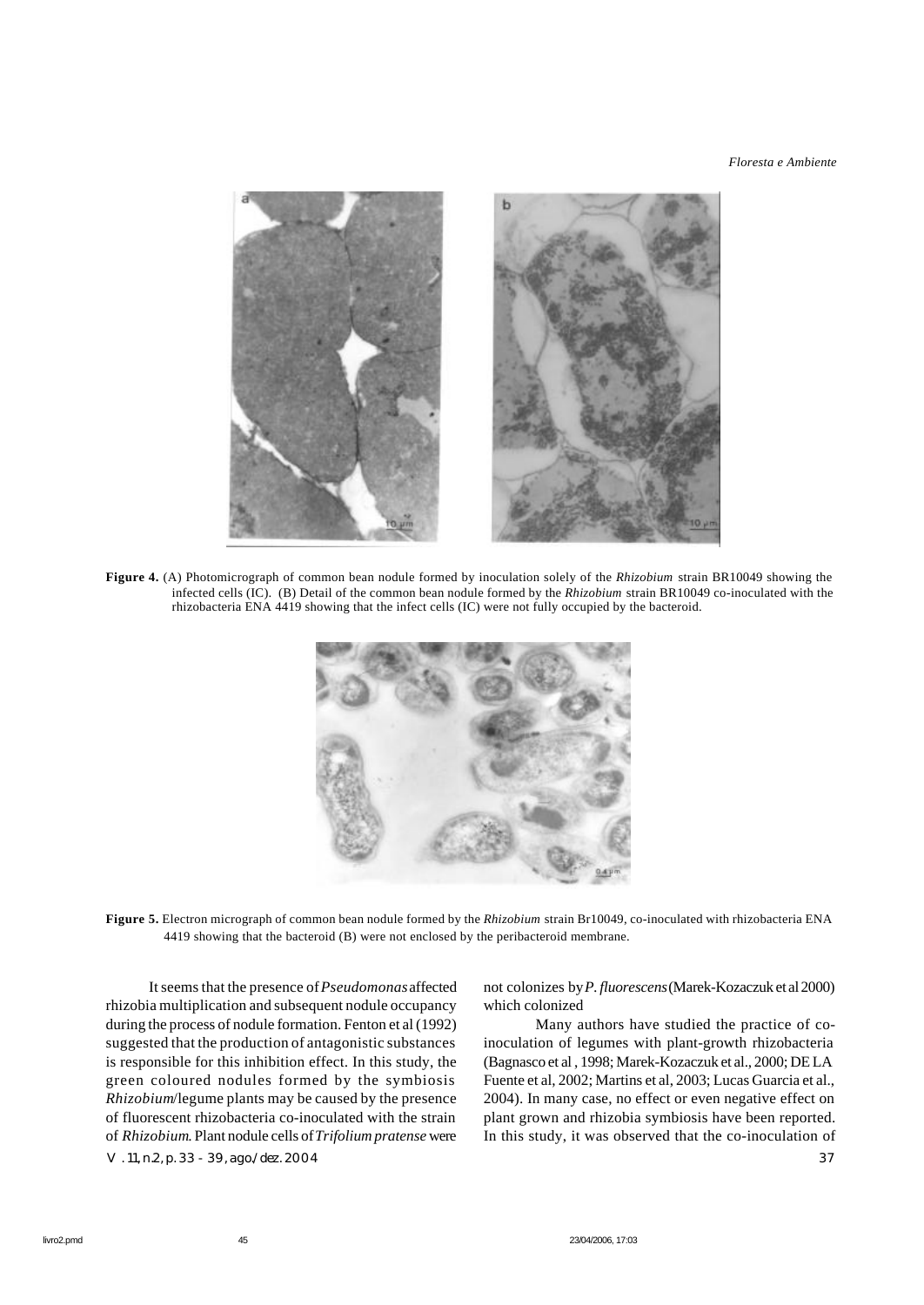

**Figure 4.** (A) Photomicrograph of common bean nodule formed by inoculation solely of the *Rhizobium* strain BR10049 showing the infected cells (IC). (B) Detail of the common bean nodule formed by the *Rhizobium* strain BR10049 co-inoculated with the rhizobacteria ENA 4419 showing that the infect cells (IC) were not fully occupied by the bacteroid.



**Figure 5.** Electron micrograph of common bean nodule formed by the *Rhizobium* strain Br10049, co-inoculated with rhizobacteria ENA 4419 showing that the bacteroid (B) were not enclosed by the peribacteroid membrane.

V. 11, n.2, p. 33 - 39, ago./dez. 2004 37 It seems that the presence of *Pseudomonas* affected rhizobia multiplication and subsequent nodule occupancy during the process of nodule formation. Fenton et al (1992) suggested that the production of antagonistic substances is responsible for this inhibition effect. In this study, the green coloured nodules formed by the symbiosis *Rhizobium*/legume plants may be caused by the presence of fluorescent rhizobacteria co-inoculated with the strain of *Rhizobium*. Plant nodule cells of *Trifolium pratense* were

not colonizes by *P. fluorescens* (Marek-Kozaczuk et al 2000) which colonized

 Many authors have studied the practice of coinoculation of legumes with plant-growth rhizobacteria (Bagnasco et al , 1998; Marek-Kozaczuk et al., 2000; DE LA Fuente et al, 2002; Martins et al, 2003; Lucas Guarcia et al., 2004). In many case, no effect or even negative effect on plant grown and rhizobia symbiosis have been reported. In this study, it was observed that the co-inoculation of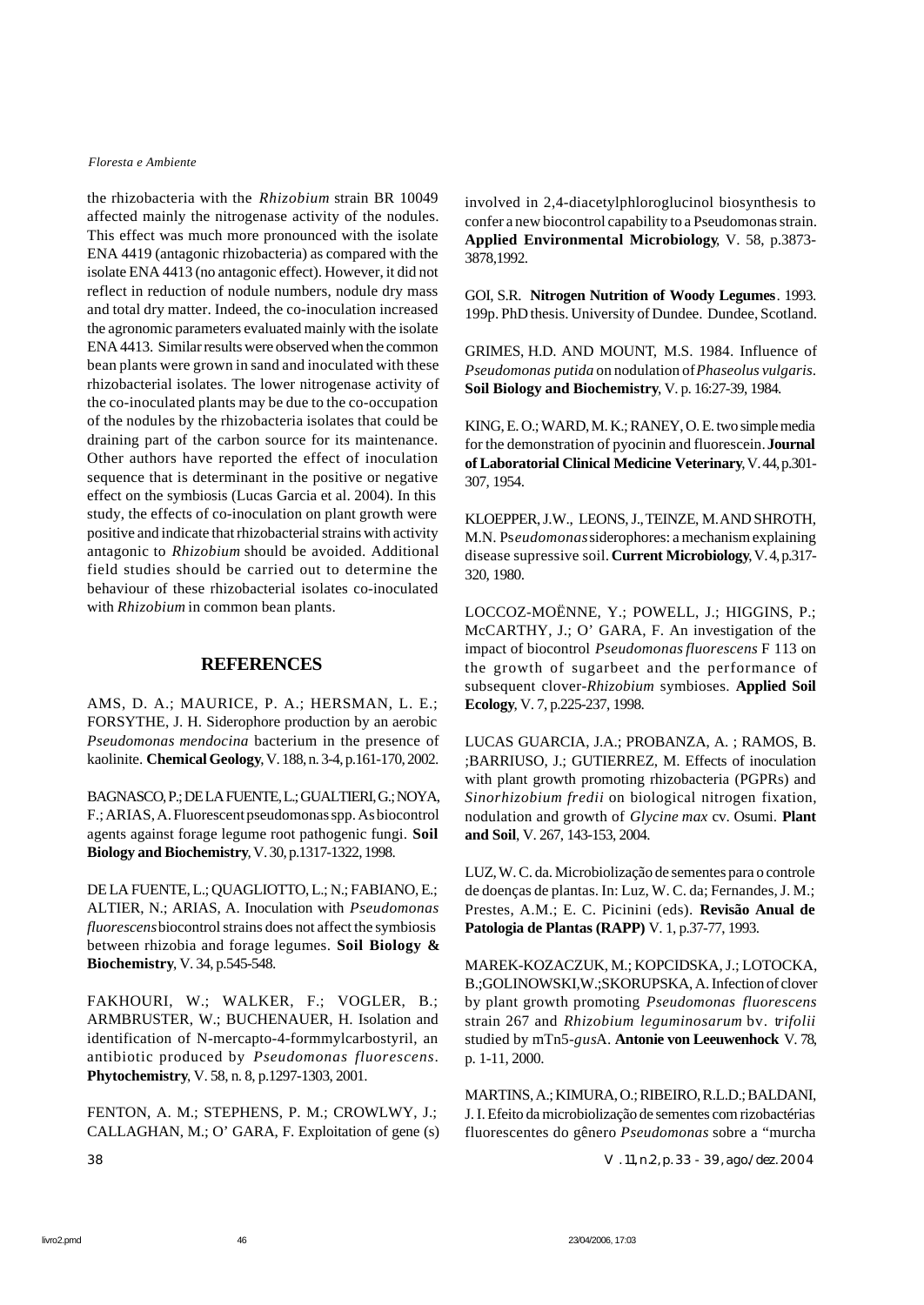the rhizobacteria with the *Rhizobium* strain BR 10049 affected mainly the nitrogenase activity of the nodules. This effect was much more pronounced with the isolate ENA 4419 (antagonic rhizobacteria) as compared with the isolate ENA 4413 (no antagonic effect). However, it did not reflect in reduction of nodule numbers, nodule dry mass and total dry matter. Indeed, the co-inoculation increased the agronomic parameters evaluated mainly with the isolate ENA 4413. Similar results were observed when the common bean plants were grown in sand and inoculated with these rhizobacterial isolates. The lower nitrogenase activity of the co-inoculated plants may be due to the co-occupation of the nodules by the rhizobacteria isolates that could be draining part of the carbon source for its maintenance. Other authors have reported the effect of inoculation sequence that is determinant in the positive or negative effect on the symbiosis (Lucas Garcia et al. 2004). In this study, the effects of co-inoculation on plant growth were positive and indicate that rhizobacterial strains with activity antagonic to *Rhizobium* should be avoided. Additional field studies should be carried out to determine the behaviour of these rhizobacterial isolates co-inoculated with *Rhizobium* in common bean plants.

#### **REFERENCES**

AMS, D. A.; MAURICE, P. A.; HERSMAN, L. E.; FORSYTHE, J. H. Siderophore production by an aerobic *Pseudomonas mendocina* bacterium in the presence of kaolinite. **Chemical Geology**, V. 188, n. 3-4, p.161-170, 2002.

BAGNASCO, P.; DE LA FUENTE, L.; GUALTIERI, G.; NOYA, F.; ARIAS, A. Fluorescent pseudomonas spp. As biocontrol agents against forage legume root pathogenic fungi. **Soil Biology and Biochemistry**, V. 30, p.1317-1322, 1998.

DE LA FUENTE, L.; QUAGLIOTTO, L.; N.; FABIANO, E.; ALTIER, N.; ARIAS, A. Inoculation with *Pseudomonas fluorescens* biocontrol strains does not affect the symbiosis between rhizobia and forage legumes. **Soil Biology & Biochemistry**, V. 34, p.545-548.

FAKHOURI, W.; WALKER, F.; VOGLER, B.; ARMBRUSTER, W.; BUCHENAUER, H. Isolation and identification of N-mercapto-4-formmylcarbostyril, an antibiotic produced by *Pseudomonas fluorescens*. **Phytochemistry**, V. 58, n. 8, p.1297-1303, 2001.

FENTON, A. M.; STEPHENS, P. M.; CROWLWY, J.; CALLAGHAN, M.; O' GARA, F. Exploitation of gene (s)

involved in 2,4-diacetylphloroglucinol biosynthesis to confer a new biocontrol capability to a Pseudomonas strain. **Applied Environmental Microbiology**, V. 58, p.3873- 3878,1992.

GOI, S.R. **Nitrogen Nutrition of Woody Legumes**. 1993. 199p. PhD thesis. University of Dundee. Dundee, Scotland.

GRIMES, H.D. AND MOUNT, M.S. 1984. Influence of *Pseudomonas putida* on nodulation of *Phaseolus vulgaris*. **Soil Biology and Biochemistry**, V. p. 16:27-39, 1984.

KING, E. O.; WARD, M. K.; RANEY, O. E. two simple media for the demonstration of pyocinin and fluorescein. **Journal of Laboratorial Clinical Medicine Veterinary**, V. 44, p.301- 307, 1954.

KLOEPPER, J.W., LEONS, J., TEINZE, M. AND SHROTH, M.N. Ps*eudomonas* siderophores: a mechanism explaining disease supressive soil. **Current Microbiology**, V. 4, p.317- 320, 1980.

LOCCOZ-MOËNNE, Y.; POWELL, J.; HIGGINS, P.; McCARTHY, J.; O' GARA, F. An investigation of the impact of biocontrol *Pseudomonasfluorescens* F 113 on the growth of sugarbeet and the performance of subsequent clover-*Rhizobium* symbioses. **Applied Soil Ecology**, V. 7, p.225-237, 1998.

LUCAS GUARCIA, J.A.; PROBANZA, A. ; RAMOS, B. ;BARRIUSO, J.; GUTIERREZ, M. Effects of inoculation with plant growth promoting rhizobacteria (PGPRs) and *Sinorhizobium fredii* on biological nitrogen fixation, nodulation and growth of *Glycine max* cv. Osumi. **Plant and Soil**, V. 267, 143-153, 2004.

LUZ, W. C. da. Microbiolização de sementes para o controle de doenças de plantas. In: Luz, W. C. da; Fernandes, J. M.; Prestes, A.M.; E. C. Picinini (eds). **Revisão Anual de Patologia de Plantas (RAPP)** V. 1, p.37-77, 1993.

MAREK-KOZACZUK, M.; KOPCIDSKA, J.; LOTOCKA, B.;GOLINOWSKI,W.;SKORUPSKA, A. Infection of clover by plant growth promoting *Pseudomonas fluorescens* strain 267 and *Rhizobium leguminosarum* bv. t*rifolii* studied by mTn5-*gus*A. **Antonie von Leeuwenhock** V. 78, p. 1-11, 2000.

MARTINS, A.; KIMURA, O.; RIBEIRO, R.L.D.; BALDANI, J. I. Efeito da microbiolização de sementes com rizobactérias fluorescentes do gênero *Pseudomonas* sobre a "murcha

38 V. 11, n.2, p. 33 - 39, ago./dez. 2004